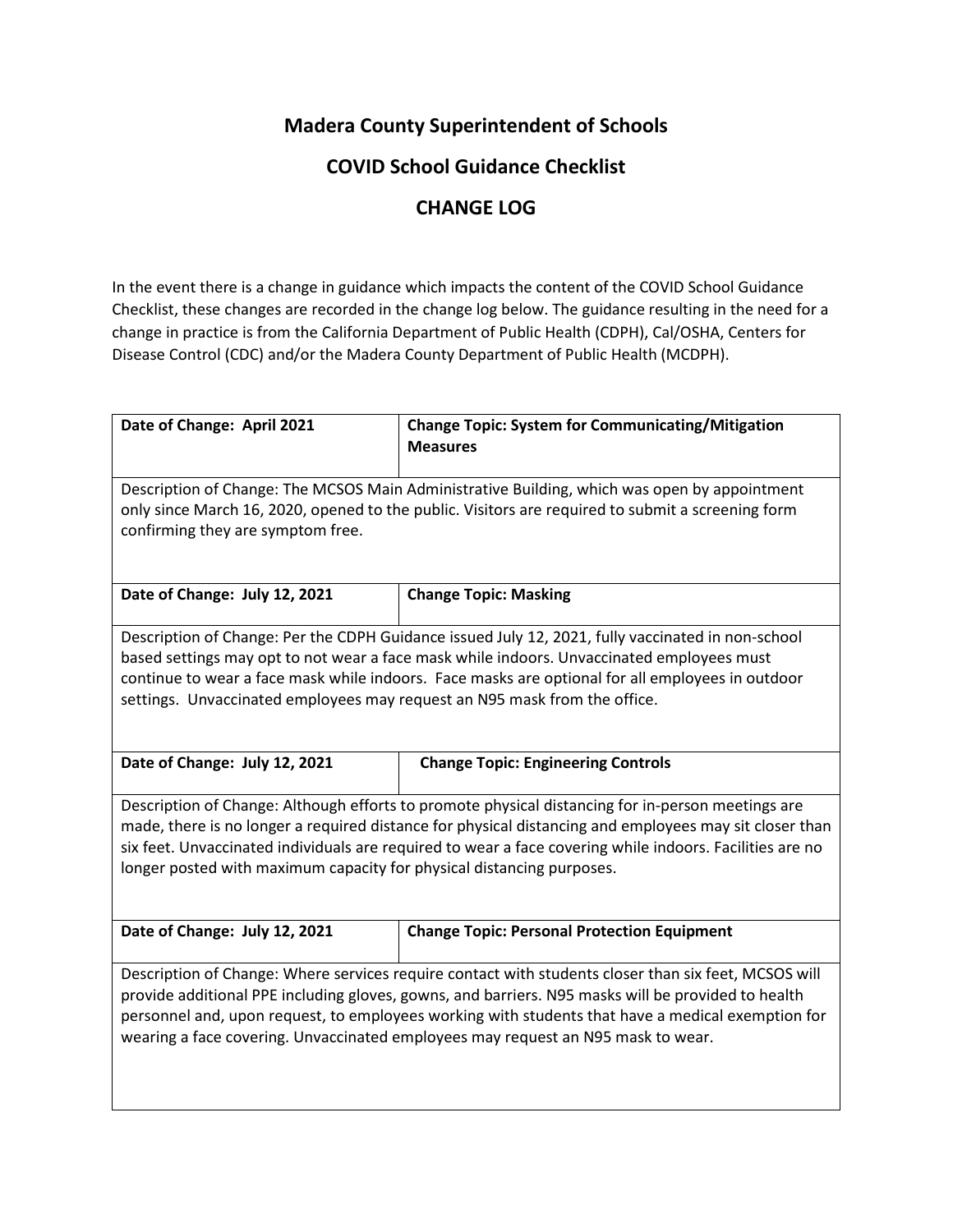## **Madera County Superintendent of Schools**

## **COVID School Guidance Checklist**

## **CHANGE LOG**

In the event there is a change in guidance which impacts the content of the COVID School Guidance Checklist, these changes are recorded in the change log below. The guidance resulting in the need for a change in practice is from the California Department of Public Health (CDPH), Cal/OSHA, Centers for Disease Control (CDC) and/or the Madera County Department of Public Health (MCDPH).

| Date of Change: April 2021                                                                           | <b>Change Topic: System for Communicating/Mitigation</b><br><b>Measures</b>                              |  |
|------------------------------------------------------------------------------------------------------|----------------------------------------------------------------------------------------------------------|--|
|                                                                                                      |                                                                                                          |  |
|                                                                                                      | Description of Change: The MCSOS Main Administrative Building, which was open by appointment             |  |
|                                                                                                      | only since March 16, 2020, opened to the public. Visitors are required to submit a screening form        |  |
| confirming they are symptom free.                                                                    |                                                                                                          |  |
|                                                                                                      |                                                                                                          |  |
| Date of Change: July 12, 2021                                                                        | <b>Change Topic: Masking</b>                                                                             |  |
|                                                                                                      |                                                                                                          |  |
| Description of Change: Per the CDPH Guidance issued July 12, 2021, fully vaccinated in non-school    |                                                                                                          |  |
| based settings may opt to not wear a face mask while indoors. Unvaccinated employees must            |                                                                                                          |  |
|                                                                                                      | continue to wear a face mask while indoors. Face masks are optional for all employees in outdoor         |  |
| settings. Unvaccinated employees may request an N95 mask from the office.                            |                                                                                                          |  |
|                                                                                                      |                                                                                                          |  |
| Date of Change: July 12, 2021                                                                        | <b>Change Topic: Engineering Controls</b>                                                                |  |
|                                                                                                      | Description of Change: Although efforts to promote physical distancing for in-person meetings are        |  |
|                                                                                                      | made, there is no longer a required distance for physical distancing and employees may sit closer than   |  |
|                                                                                                      | six feet. Unvaccinated individuals are required to wear a face covering while indoors. Facilities are no |  |
| longer posted with maximum capacity for physical distancing purposes.                                |                                                                                                          |  |
|                                                                                                      |                                                                                                          |  |
|                                                                                                      |                                                                                                          |  |
| Date of Change: July 12, 2021                                                                        | <b>Change Topic: Personal Protection Equipment</b>                                                       |  |
| Description of Change: Where services require contact with students closer than six feet, MCSOS will |                                                                                                          |  |
| provide additional PPE including gloves, gowns, and barriers. N95 masks will be provided to health   |                                                                                                          |  |
| personnel and, upon request, to employees working with students that have a medical exemption for    |                                                                                                          |  |
| wearing a face covering. Unvaccinated employees may request an N95 mask to wear.                     |                                                                                                          |  |
|                                                                                                      |                                                                                                          |  |
|                                                                                                      |                                                                                                          |  |
|                                                                                                      |                                                                                                          |  |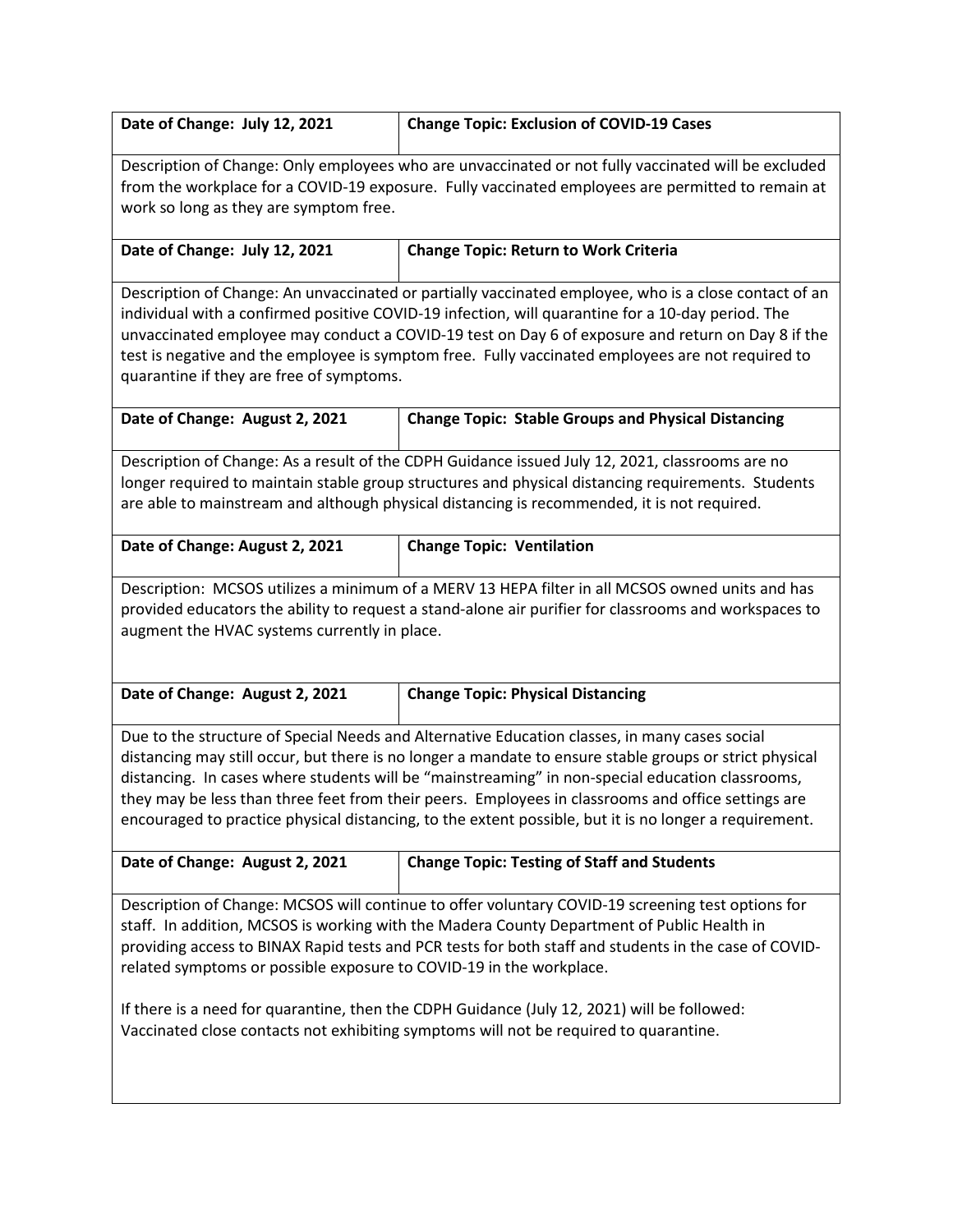| Date of Change: July 12, 2021                                                                                                                                                                                                                                                                                                                                                                                                                                                                                                                                           | <b>Change Topic: Exclusion of COVID-19 Cases</b>           |  |
|-------------------------------------------------------------------------------------------------------------------------------------------------------------------------------------------------------------------------------------------------------------------------------------------------------------------------------------------------------------------------------------------------------------------------------------------------------------------------------------------------------------------------------------------------------------------------|------------------------------------------------------------|--|
| Description of Change: Only employees who are unvaccinated or not fully vaccinated will be excluded<br>from the workplace for a COVID-19 exposure. Fully vaccinated employees are permitted to remain at<br>work so long as they are symptom free.                                                                                                                                                                                                                                                                                                                      |                                                            |  |
| Date of Change: July 12, 2021                                                                                                                                                                                                                                                                                                                                                                                                                                                                                                                                           | <b>Change Topic: Return to Work Criteria</b>               |  |
| Description of Change: An unvaccinated or partially vaccinated employee, who is a close contact of an<br>individual with a confirmed positive COVID-19 infection, will quarantine for a 10-day period. The<br>unvaccinated employee may conduct a COVID-19 test on Day 6 of exposure and return on Day 8 if the<br>test is negative and the employee is symptom free. Fully vaccinated employees are not required to<br>quarantine if they are free of symptoms.                                                                                                        |                                                            |  |
| Date of Change: August 2, 2021                                                                                                                                                                                                                                                                                                                                                                                                                                                                                                                                          | <b>Change Topic: Stable Groups and Physical Distancing</b> |  |
| Description of Change: As a result of the CDPH Guidance issued July 12, 2021, classrooms are no<br>longer required to maintain stable group structures and physical distancing requirements. Students<br>are able to mainstream and although physical distancing is recommended, it is not required.                                                                                                                                                                                                                                                                    |                                                            |  |
| Date of Change: August 2, 2021                                                                                                                                                                                                                                                                                                                                                                                                                                                                                                                                          | <b>Change Topic: Ventilation</b>                           |  |
| Description: MCSOS utilizes a minimum of a MERV 13 HEPA filter in all MCSOS owned units and has<br>provided educators the ability to request a stand-alone air purifier for classrooms and workspaces to<br>augment the HVAC systems currently in place.                                                                                                                                                                                                                                                                                                                |                                                            |  |
| Date of Change: August 2, 2021                                                                                                                                                                                                                                                                                                                                                                                                                                                                                                                                          | <b>Change Topic: Physical Distancing</b>                   |  |
| Due to the structure of Special Needs and Alternative Education classes, in many cases social<br>distancing may still occur, but there is no longer a mandate to ensure stable groups or strict physical<br>distancing. In cases where students will be "mainstreaming" in non-special education classrooms,<br>they may be less than three feet from their peers. Employees in classrooms and office settings are<br>encouraged to practice physical distancing, to the extent possible, but it is no longer a requirement.                                            |                                                            |  |
| Date of Change: August 2, 2021                                                                                                                                                                                                                                                                                                                                                                                                                                                                                                                                          | <b>Change Topic: Testing of Staff and Students</b>         |  |
| Description of Change: MCSOS will continue to offer voluntary COVID-19 screening test options for<br>staff. In addition, MCSOS is working with the Madera County Department of Public Health in<br>providing access to BINAX Rapid tests and PCR tests for both staff and students in the case of COVID-<br>related symptoms or possible exposure to COVID-19 in the workplace.<br>If there is a need for quarantine, then the CDPH Guidance (July 12, 2021) will be followed:<br>Vaccinated close contacts not exhibiting symptoms will not be required to quarantine. |                                                            |  |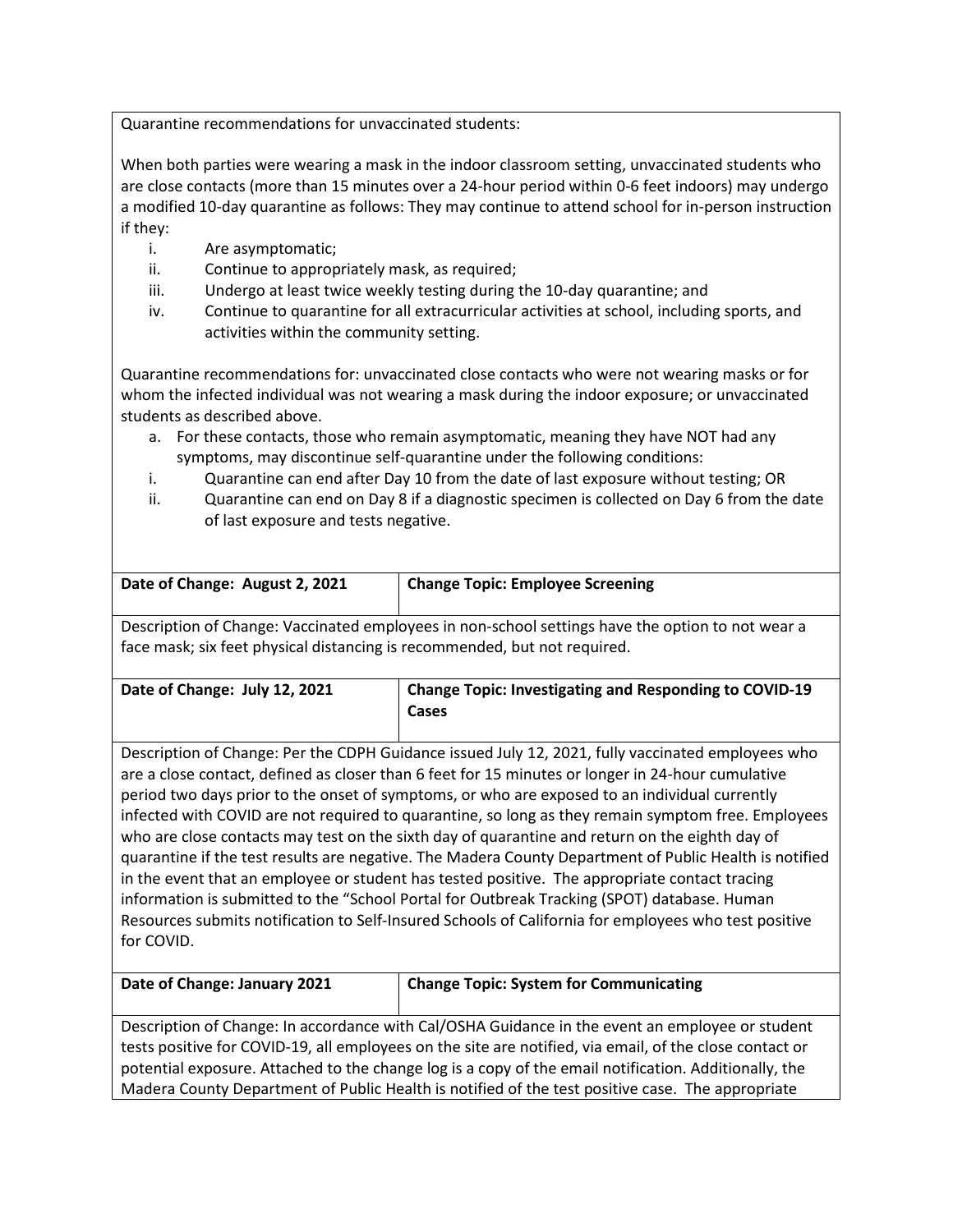Quarantine recommendations for unvaccinated students:

When both parties were wearing a mask in the indoor classroom setting, unvaccinated students who are close contacts (more than 15 minutes over a 24-hour period within 0-6 feet indoors) may undergo a modified 10-day quarantine as follows: They may continue to attend school for in-person instruction if they:

- i. Are asymptomatic;
- ii. Continue to appropriately mask, as required;
- iii. Undergo at least twice weekly testing during the 10-day quarantine; and
- iv. Continue to quarantine for all extracurricular activities at school, including sports, and activities within the community setting.

Quarantine recommendations for: unvaccinated close contacts who were not wearing masks or for whom the infected individual was not wearing a mask during the indoor exposure; or unvaccinated students as described above.

- a. For these contacts, those who remain asymptomatic, meaning they have NOT had any symptoms, may discontinue self-quarantine under the following conditions:
- i. Quarantine can end after Day 10 from the date of last exposure without testing; OR
- ii. Quarantine can end on Day 8 if a diagnostic specimen is collected on Day 6 from the date of last exposure and tests negative.

| Date of Change: August 2, 2021                                                                          | <b>Change Topic: Employee Screening</b>                                                          |  |
|---------------------------------------------------------------------------------------------------------|--------------------------------------------------------------------------------------------------|--|
|                                                                                                         | Description of Change: Vaccinated employees in non-school settings have the option to not wear a |  |
| face mask; six feet physical distancing is recommended, but not required.                               |                                                                                                  |  |
| Date of Change: July 12, 2021                                                                           | <b>Change Topic: Investigating and Responding to COVID-19</b>                                    |  |
|                                                                                                         | Cases                                                                                            |  |
|                                                                                                         |                                                                                                  |  |
| Description of Change: Per the CDPH Guidance issued July 12, 2021, fully vaccinated employees who       |                                                                                                  |  |
| are a close contact, defined as closer than 6 feet for 15 minutes or longer in 24-hour cumulative       |                                                                                                  |  |
|                                                                                                         | period two days prior to the onset of symptoms, or who are exposed to an individual currently    |  |
| infected with COVID are not required to quarantine, so long as they remain symptom free. Employees      |                                                                                                  |  |
| who are close contacts may test on the sixth day of quarantine and return on the eighth day of          |                                                                                                  |  |
| quarantine if the test results are negative. The Madera County Department of Public Health is notified  |                                                                                                  |  |
| in the event that an employee or student has tested positive. The appropriate contact tracing           |                                                                                                  |  |
| information is submitted to the "School Portal for Outbreak Tracking (SPOT) database. Human             |                                                                                                  |  |
| Resources submits notification to Self-Insured Schools of California for employees who test positive    |                                                                                                  |  |
| for COVID.                                                                                              |                                                                                                  |  |
|                                                                                                         |                                                                                                  |  |
| Date of Change: January 2021                                                                            | <b>Change Topic: System for Communicating</b>                                                    |  |
| Description of Change: In accordance with Cal/OSHA Guidance in the event an employee or student         |                                                                                                  |  |
| tests positive for COVID-19, all employees on the site are notified, via email, of the close contact or |                                                                                                  |  |
| potential exposure. Attached to the change log is a copy of the email notification. Additionally, the   |                                                                                                  |  |

Madera County Department of Public Health is notified of the test positive case. The appropriate